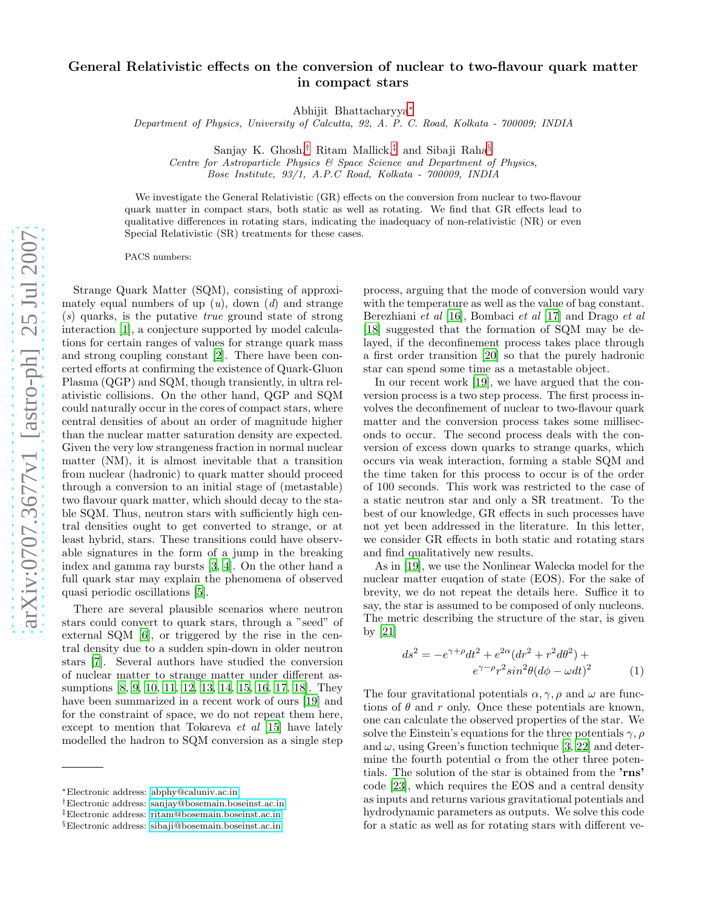## General Relativistic effects on the conversion of nuclear to two-flavour quark matter in compact stars

Abhijit Bhattacharyya[∗](#page-0-0)

Department of Physics, University of Calcutta, 92, A. P. C. Road, Kolkata - 700009; INDIA

Sanjay K. Ghosh,[†](#page-0-1) Ritam Mallick,[‡](#page-0-2) and Sibaji Raha[§](#page-0-3)

Centre for Astroparticle Physics & Space Science and Department of Physics, Bose Institute, 93/1, A.P.C Road, Kolkata - 700009, INDIA

We investigate the General Relativistic (GR) effects on the conversion from nuclear to two-flavour quark matter in compact stars, both static as well as rotating. We find that GR effects lead to qualitative differences in rotating stars, indicating the inadequacy of non-relativistic (NR) or even Special Relativistic (SR) treatments for these cases.

PACS numbers:

Strange Quark Matter (SQM), consisting of approximately equal numbers of up  $(u)$ , down  $(d)$  and strange  $(s)$  quarks, is the putative *true* ground state of strong interaction [\[1\]](#page-3-0), a conjecture supported by model calculations for certain ranges of values for strange quark mass and strong coupling constant [\[2](#page-3-1)]. There have been concerted efforts at confirming the existence of Quark-Gluon Plasma (QGP) and SQM, though transiently, in ultra relativistic collisions. On the other hand, QGP and SQM could naturally occur in the cores of compact stars, where central densities of about an order of magnitude higher than the nuclear matter saturation density are expected. Given the very low strangeness fraction in normal nuclear matter (NM), it is almost inevitable that a transition from nuclear (hadronic) to quark matter should proceed through a conversion to an initial stage of (metastable) two flavour quark matter, which should decay to the stable SQM. Thus, neutron stars with sufficiently high central densities ought to get converted to strange, or at least hybrid, stars. These transitions could have observable signatures in the form of a jump in the breaking index and gamma ray bursts [\[3](#page-3-2), [4](#page-3-3)]. On the other hand a full quark star may explain the phenomena of observed quasi periodic oscillations [\[5\]](#page-3-4).

There are several plausible scenarios where neutron stars could convert to quark stars, through a "seed" of external SQM [\[6\]](#page-3-5), or triggered by the rise in the central density due to a sudden spin-down in older neutron stars [\[7](#page-3-6)]. Several authors have studied the conversion of nuclear matter to strange matter under different assumptions [\[8,](#page-3-7) [9,](#page-3-8) [10,](#page-3-9) [11](#page-3-10), [12](#page-3-11), [13,](#page-3-12) [14,](#page-3-13) [15,](#page-3-14) [16,](#page-3-15) [17](#page-3-16), [18\]](#page-3-17). They have been summarized in a recent work of ours [\[19\]](#page-3-18) and for the constraint of space, we do not repeat them here, except to mention that Tokareva et al [\[15\]](#page-3-14) have lately modelled the hadron to SQM conversion as a single step

process, arguing that the mode of conversion would vary with the temperature as well as the value of bag constant. Berezhiani et al [\[16\]](#page-3-15), Bombaci et al [\[17](#page-3-16)] and Drago et al [\[18\]](#page-3-17) suggested that the formation of SQM may be delayed, if the deconfinement process takes place through a first order transition [\[20](#page-3-19)] so that the purely hadronic star can spend some time as a metastable object.

In our recent work [\[19\]](#page-3-18), we have argued that the conversion process is a two step process. The first process involves the deconfinement of nuclear to two-flavour quark matter and the conversion process takes some milliseconds to occur. The second process deals with the conversion of excess down quarks to strange quarks, which occurs via weak interaction, forming a stable SQM and the time taken for this process to occur is of the order of 100 seconds. This work was restricted to the case of a static neutron star and only a SR treatment. To the best of our knowledge, GR effects in such processes have not yet been addressed in the literature. In this letter, we consider GR effects in both static and rotating stars and find qualitatively new results.

As in [\[19](#page-3-18)], we use the Nonlinear Walecka model for the nuclear matter euqation of state (EOS). For the sake of brevity, we do not repeat the details here. Suffice it to say, the star is assumed to be composed of only nucleons. The metric describing the structure of the star, is given by [\[21\]](#page-3-20)

$$
ds^{2} = -e^{\gamma + \rho}dt^{2} + e^{2\alpha}(dr^{2} + r^{2}d\theta^{2}) +
$$
  

$$
e^{\gamma - \rho}r^{2}\sin^{2}\theta(d\phi - \omega dt)^{2}
$$
 (1)

The four gravitational potentials  $\alpha, \gamma, \rho$  and  $\omega$  are functions of  $\theta$  and r only. Once these potentials are known, one can calculate the observed properties of the star. We solve the Einstein's equations for the three potentials  $\gamma$ ,  $\rho$ and  $\omega$ , using Green's function technique [\[3,](#page-3-2) [22\]](#page-3-21) and determine the fourth potential  $\alpha$  from the other three potentials. The solution of the star is obtained from the 'rns' code [\[23\]](#page-3-22), which requires the EOS and a central density as inputs and returns various gravitational potentials and hydrodynamic parameters as outputs. We solve this code for a static as well as for rotating stars with different ve-

<span id="page-0-0"></span><sup>∗</sup>Electronic address: [abphy@caluniv.ac.in](mailto:abphy@caluniv.ac.in)

<span id="page-0-1"></span><sup>†</sup>Electronic address: [sanjay@bosemain.boseinst.ac.in](mailto:sanjay@bosemain.boseinst.ac.in)

<span id="page-0-2"></span><sup>‡</sup>Electronic address: [ritam@bosemain.boseinst.ac.in](mailto:ritam@bosemain.boseinst.ac.in)

<span id="page-0-3"></span><sup>§</sup>Electronic address: [sibaji@bosemain.boseinst.ac.in](mailto:sibaji@bosemain.boseinst.ac.in)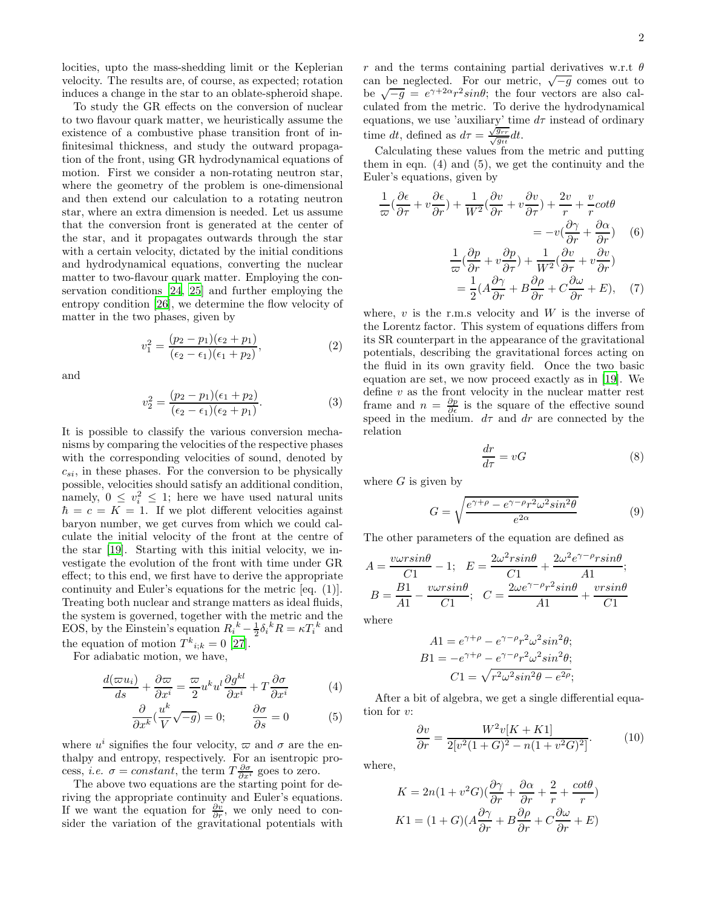locities, upto the mass-shedding limit or the Keplerian velocity. The results are, of course, as expected; rotation induces a change in the star to an oblate-spheroid shape.

To study the GR effects on the conversion of nuclear to two flavour quark matter, we heuristically assume the existence of a combustive phase transition front of infinitesimal thickness, and study the outward propagation of the front, using GR hydrodynamical equations of motion. First we consider a non-rotating neutron star, where the geometry of the problem is one-dimensional and then extend our calculation to a rotating neutron star, where an extra dimension is needed. Let us assume that the conversion front is generated at the center of the star, and it propagates outwards through the star with a certain velocity, dictated by the initial conditions and hydrodynamical equations, converting the nuclear matter to two-flavour quark matter. Employing the conservation conditions [\[24,](#page-3-23) [25\]](#page-3-24) and further employing the entropy condition [\[26\]](#page-3-25), we determine the flow velocity of matter in the two phases, given by

$$
v_1^2 = \frac{(p_2 - p_1)(\epsilon_2 + p_1)}{(\epsilon_2 - \epsilon_1)(\epsilon_1 + p_2)},
$$
\n(2)

and

$$
v_2^2 = \frac{(p_2 - p_1)(\epsilon_1 + p_2)}{(\epsilon_2 - \epsilon_1)(\epsilon_2 + p_1)}.
$$
\n(3)

It is possible to classify the various conversion mechanisms by comparing the velocities of the respective phases with the corresponding velocities of sound, denoted by  $c_{si}$ , in these phases. For the conversion to be physically possible, velocities should satisfy an additional condition, namely,  $0 \leq v_i^2 \leq 1$ ; here we have used natural units  $\hbar = c = K = 1$ . If we plot different velocities against baryon number, we get curves from which we could calculate the initial velocity of the front at the centre of the star [\[19\]](#page-3-18). Starting with this initial velocity, we investigate the evolution of the front with time under GR effect; to this end, we first have to derive the appropriate continuity and Euler's equations for the metric [eq. (1)]. Treating both nuclear and strange matters as ideal fluids, the system is governed, together with the metric and the EOS, by the Einstein's equation  $R_i^k - \frac{1}{2} \delta_i^k R = \kappa T_i^k$  and the equation of motion  $T^k_{i;k} = 0$  [\[27](#page-3-26)].

For adiabatic motion, we have,

$$
\frac{d(\varpi u_i)}{ds} + \frac{\partial \varpi}{\partial x^i} = \frac{\varpi}{2} u^k u^l \frac{\partial g^{kl}}{\partial x^i} + T \frac{\partial \sigma}{\partial x^i} \tag{4}
$$

$$
\frac{\partial}{\partial x^k} \left( \frac{u^k}{V} \sqrt{-g} \right) = 0; \qquad \frac{\partial \sigma}{\partial s} = 0 \tag{5}
$$

where  $u^i$  signifies the four velocity,  $\varpi$  and  $\sigma$  are the enthalpy and entropy, respectively. For an isentropic process, *i.e.*  $\sigma = constant$ , the term  $T \frac{\partial \sigma}{\partial x^i}$  goes to zero.

The above two equations are the starting point for deriving the appropriate continuity and Euler's equations. If we want the equation for  $\frac{\partial v}{\partial r}$ , we only need to consider the variation of the gravitational potentials with r and the terms containing partial derivatives w.r.t  $\theta$ can be neglected. For our metric,  $\sqrt{-g}$  comes out to be  $\sqrt{-g} = e^{\gamma + 2\alpha} r^2 \sin \theta$ ; the four vectors are also calculated from the metric. To derive the hydrodynamical equations, we use 'auxiliary' time  $d\tau$  instead of ordinary time dt, defined as  $d\tau = \frac{\sqrt{g_{rr}}}{\sqrt{g_{tt}}} dt$ .

Calculating these values from the metric and putting them in eqn.  $(4)$  and  $(5)$ , we get the continuity and the Euler's equations, given by

$$
\frac{1}{\omega}(\frac{\partial \epsilon}{\partial \tau} + v \frac{\partial \epsilon}{\partial r}) + \frac{1}{W^2}(\frac{\partial v}{\partial r} + v \frac{\partial v}{\partial \tau}) + \frac{2v}{r} + \frac{v}{r}cot\theta
$$
\n
$$
= -v(\frac{\partial \gamma}{\partial r} + \frac{\partial \alpha}{\partial r}) \quad (6)
$$
\n
$$
\frac{1}{\omega}(\frac{\partial p}{\partial r} + v \frac{\partial p}{\partial \tau}) + \frac{1}{W^2}(\frac{\partial v}{\partial \tau} + v \frac{\partial v}{\partial r})
$$
\n
$$
= \frac{1}{2}(A\frac{\partial \gamma}{\partial r} + B\frac{\partial \rho}{\partial r} + C\frac{\partial \omega}{\partial r} + E), \quad (7)
$$

where,  $v$  is the r.m.s velocity and  $W$  is the inverse of the Lorentz factor. This system of equations differs from its SR counterpart in the appearance of the gravitational potentials, describing the gravitational forces acting on the fluid in its own gravity field. Once the two basic equation are set, we now proceed exactly as in [\[19\]](#page-3-18). We define  $v$  as the front velocity in the nuclear matter rest frame and  $n = \frac{\partial p}{\partial \epsilon}$  is the square of the effective sound speed in the medium.  $d\tau$  and dr are connected by the relation

$$
\frac{dr}{d\tau} = vG\tag{8}
$$

where  $G$  is given by

$$
G = \sqrt{\frac{e^{\gamma + \rho} - e^{\gamma - \rho} r^2 \omega^2 \sin^2 \theta}{e^{2\alpha}}}
$$
(9)

The other parameters of the equation are defined as

$$
A = \frac{v \omega r \sin \theta}{C1} - 1; \quad E = \frac{2\omega^2 r \sin \theta}{C1} + \frac{2\omega^2 e^{\gamma - \rho} r \sin \theta}{A1};
$$
\n
$$
B = \frac{B1}{A1} - \frac{v \omega r \sin \theta}{C1}; \quad C = \frac{2\omega e^{\gamma - \rho} r^2 \sin \theta}{A1} + \frac{v r \sin \theta}{C1}
$$
\nwhere

where

$$
A1 = e^{\gamma + \rho} - e^{\gamma - \rho} r^2 \omega^2 \sin^2 \theta;
$$
  
\n
$$
B1 = -e^{\gamma + \rho} - e^{\gamma - \rho} r^2 \omega^2 \sin^2 \theta;
$$
  
\n
$$
C1 = \sqrt{r^2 \omega^2 \sin^2 \theta - e^{2\rho}};
$$

After a bit of algebra, we get a single differential equation for v:

$$
\frac{\partial v}{\partial r} = \frac{W^2 v [K + K1]}{2[v^2 (1 + G)^2 - n(1 + v^2 G)^2]}.
$$
(10)

where,

$$
K = 2n(1 + v^2 G)\left(\frac{\partial \gamma}{\partial r} + \frac{\partial \alpha}{\partial r} + \frac{2}{r} + \frac{\cot \theta}{r}\right)
$$

$$
K1 = (1 + G)(A\frac{\partial \gamma}{\partial r} + B\frac{\partial \rho}{\partial r} + C\frac{\partial \omega}{\partial r} + E)
$$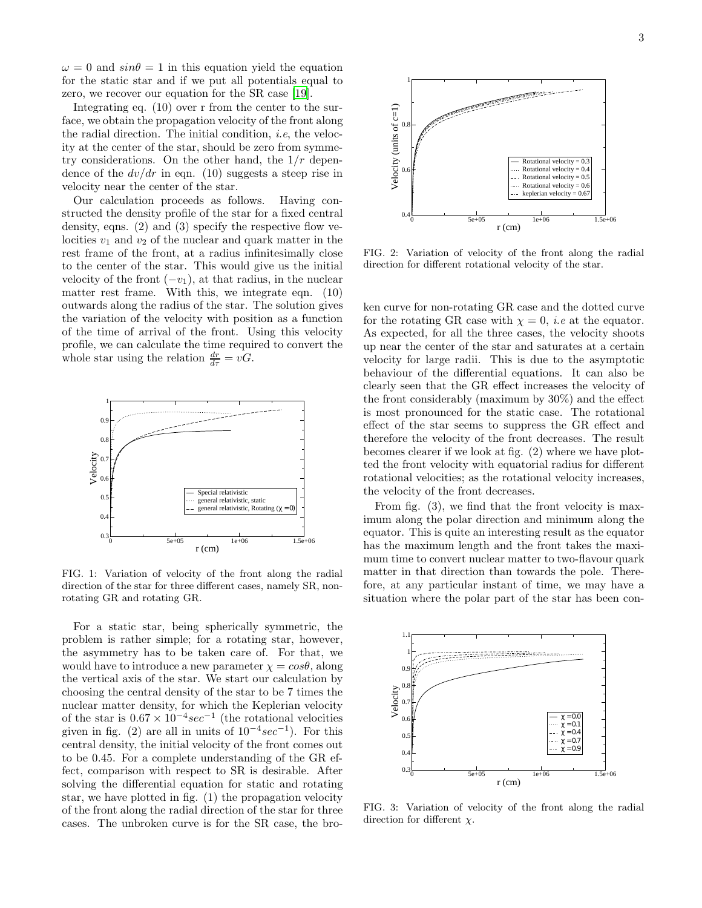$\omega = 0$  and  $sin\theta = 1$  in this equation yield the equation for the static star and if we put all potentials equal to zero, we recover our equation for the SR case [\[19](#page-3-18)].

Integrating eq. (10) over r from the center to the surface, we obtain the propagation velocity of the front along the radial direction. The initial condition, *i.e.*, the velocity at the center of the star, should be zero from symmetry considerations. On the other hand, the  $1/r$  dependence of the  $dv/dr$  in eqn. (10) suggests a steep rise in velocity near the center of the star.

Our calculation proceeds as follows. Having constructed the density profile of the star for a fixed central density, eqns.  $(2)$  and  $(3)$  specify the respective flow velocities  $v_1$  and  $v_2$  of the nuclear and quark matter in the rest frame of the front, at a radius infinitesimally close to the center of the star. This would give us the initial velocity of the front  $(-v_1)$ , at that radius, in the nuclear matter rest frame. With this, we integrate eqn. (10) outwards along the radius of the star. The solution gives the variation of the velocity with position as a function of the time of arrival of the front. Using this velocity profile, we can calculate the time required to convert the whole star using the relation  $\frac{dr}{d\tau} = vG$ .



FIG. 1: Variation of velocity of the front along the radial direction of the star for three different cases, namely SR, nonrotating GR and rotating GR.

For a static star, being spherically symmetric, the problem is rather simple; for a rotating star, however, the asymmetry has to be taken care of. For that, we would have to introduce a new parameter  $\chi = cos\theta$ , along the vertical axis of the star. We start our calculation by choosing the central density of the star to be 7 times the nuclear matter density, for which the Keplerian velocity of the star is  $0.67 \times 10^{-4} sec^{-1}$  (the rotational velocities given in fig. (2) are all in units of  $10^{-4} sec^{-1}$ ). For this central density, the initial velocity of the front comes out to be 0.45. For a complete understanding of the GR effect, comparison with respect to SR is desirable. After solving the differential equation for static and rotating star, we have plotted in fig. (1) the propagation velocity of the front along the radial direction of the star for three cases. The unbroken curve is for the SR case, the bro-



FIG. 2: Variation of velocity of the front along the radial direction for different rotational velocity of the star.

ken curve for non-rotating GR case and the dotted curve for the rotating GR case with  $\chi = 0$ , *i.e* at the equator. As expected, for all the three cases, the velocity shoots up near the center of the star and saturates at a certain velocity for large radii. This is due to the asymptotic behaviour of the differential equations. It can also be clearly seen that the GR effect increases the velocity of the front considerably (maximum by 30%) and the effect is most pronounced for the static case. The rotational effect of the star seems to suppress the GR effect and therefore the velocity of the front decreases. The result becomes clearer if we look at fig. (2) where we have plotted the front velocity with equatorial radius for different rotational velocities; as the rotational velocity increases, the velocity of the front decreases.

From fig. (3), we find that the front velocity is maximum along the polar direction and minimum along the equator. This is quite an interesting result as the equator has the maximum length and the front takes the maximum time to convert nuclear matter to two-flavour quark matter in that direction than towards the pole. Therefore, at any particular instant of time, we may have a situation where the polar part of the star has been con-



FIG. 3: Variation of velocity of the front along the radial direction for different  $\chi$ .